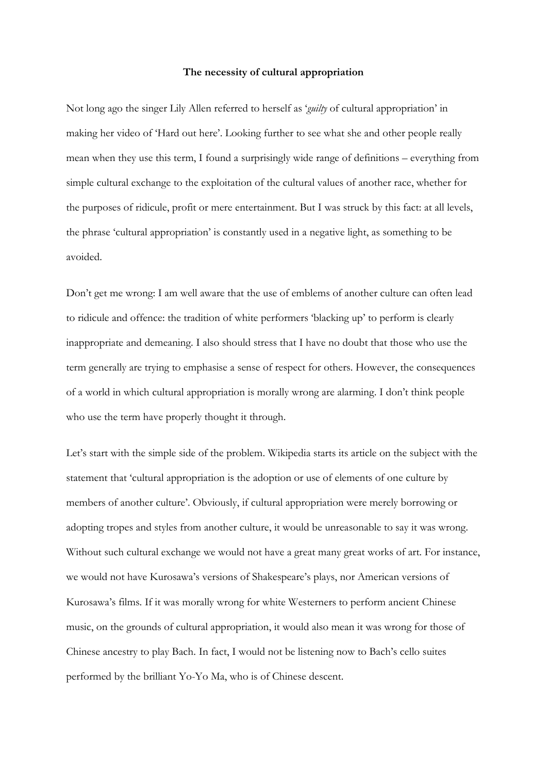## **The necessity of cultural appropriation**

Not long ago the singer Lily Allen referred to herself as '*guilty* of cultural appropriation' in making her video of 'Hard out here'. Looking further to see what she and other people really mean when they use this term, I found a surprisingly wide range of definitions – everything from simple cultural exchange to the exploitation of the cultural values of another race, whether for the purposes of ridicule, profit or mere entertainment. But I was struck by this fact: at all levels, the phrase 'cultural appropriation' is constantly used in a negative light, as something to be avoided.

Don't get me wrong: I am well aware that the use of emblems of another culture can often lead to ridicule and offence: the tradition of white performers 'blacking up' to perform is clearly inappropriate and demeaning. I also should stress that I have no doubt that those who use the term generally are trying to emphasise a sense of respect for others. However, the consequences of a world in which cultural appropriation is morally wrong are alarming. I don't think people who use the term have properly thought it through.

Let's start with the simple side of the problem. Wikipedia starts its article on the subject with the statement that 'cultural appropriation is the adoption or use of elements of one culture by members of another culture'. Obviously, if cultural appropriation were merely borrowing or adopting tropes and styles from another culture, it would be unreasonable to say it was wrong. Without such cultural exchange we would not have a great many great works of art. For instance, we would not have Kurosawa's versions of Shakespeare's plays, nor American versions of Kurosawa's films. If it was morally wrong for white Westerners to perform ancient Chinese music, on the grounds of cultural appropriation, it would also mean it was wrong for those of Chinese ancestry to play Bach. In fact, I would not be listening now to Bach's cello suites performed by the brilliant Yo-Yo Ma, who is of Chinese descent.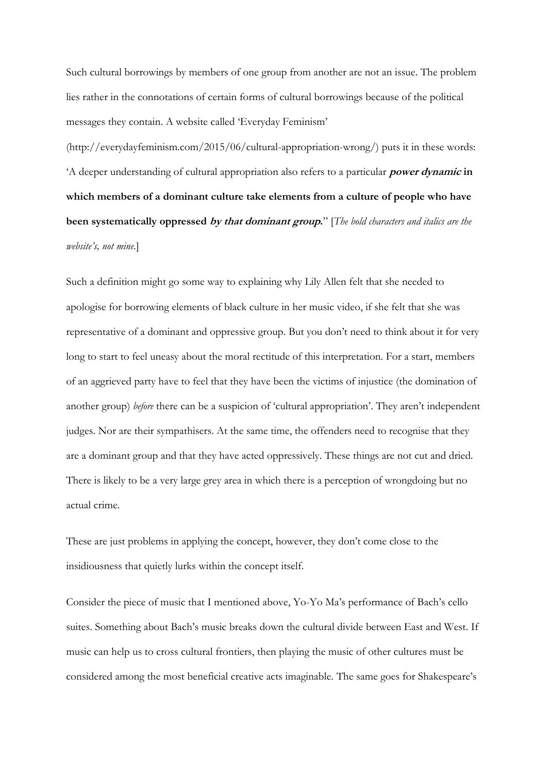Such cultural borrowings by members of one group from another are not an issue. The problem lies rather in the connotations of certain forms of cultural borrowings because of the political messages they contain. A website called 'Everyday Feminism'

(http://everydayfeminism.com/2015/06/cultural-appropriation-wrong/) puts it in these words: 'A deeper understanding of cultural appropriation also refers to a particular **power dynamic in which members of a dominant culture take elements from a culture of people who have been systematically oppressed by that dominant group.**" [*The bold characters and italics are the website's, not mine.*]

Such a definition might go some way to explaining why Lily Allen felt that she needed to apologise for borrowing elements of black culture in her music video, if she felt that she was representative of a dominant and oppressive group. But you don't need to think about it for very long to start to feel uneasy about the moral rectitude of this interpretation. For a start, members of an aggrieved party have to feel that they have been the victims of injustice (the domination of another group) *before* there can be a suspicion of 'cultural appropriation'. They aren't independent judges. Nor are their sympathisers. At the same time, the offenders need to recognise that they are a dominant group and that they have acted oppressively. These things are not cut and dried. There is likely to be a very large grey area in which there is a perception of wrongdoing but no actual crime.

These are just problems in applying the concept, however, they don't come close to the insidiousness that quietly lurks within the concept itself.

Consider the piece of music that I mentioned above, Yo-Yo Ma's performance of Bach's cello suites. Something about Bach's music breaks down the cultural divide between East and West. If music can help us to cross cultural frontiers, then playing the music of other cultures must be considered among the most beneficial creative acts imaginable. The same goes for Shakespeare's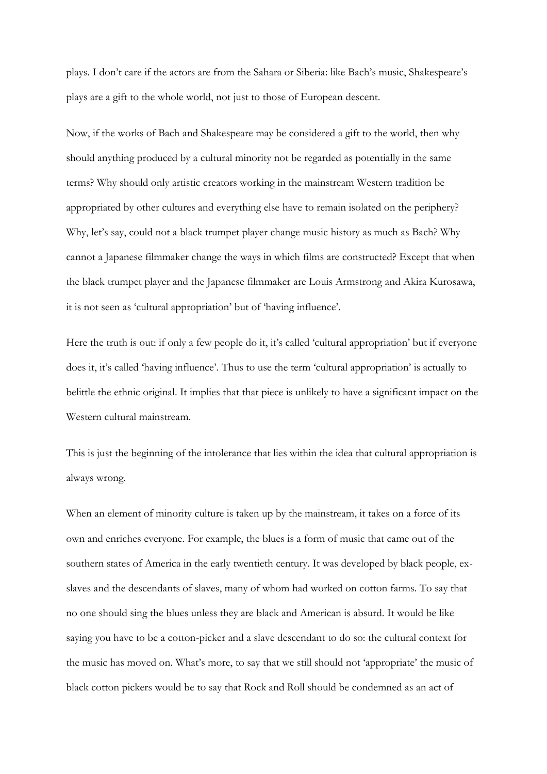plays. I don't care if the actors are from the Sahara or Siberia: like Bach's music, Shakespeare's plays are a gift to the whole world, not just to those of European descent.

Now, if the works of Bach and Shakespeare may be considered a gift to the world, then why should anything produced by a cultural minority not be regarded as potentially in the same terms? Why should only artistic creators working in the mainstream Western tradition be appropriated by other cultures and everything else have to remain isolated on the periphery? Why, let's say, could not a black trumpet player change music history as much as Bach? Why cannot a Japanese filmmaker change the ways in which films are constructed? Except that when the black trumpet player and the Japanese filmmaker are Louis Armstrong and Akira Kurosawa, it is not seen as 'cultural appropriation' but of 'having influence'.

Here the truth is out: if only a few people do it, it's called 'cultural appropriation' but if everyone does it, it's called 'having influence'. Thus to use the term 'cultural appropriation' is actually to belittle the ethnic original. It implies that that piece is unlikely to have a significant impact on the Western cultural mainstream.

This is just the beginning of the intolerance that lies within the idea that cultural appropriation is always wrong.

When an element of minority culture is taken up by the mainstream, it takes on a force of its own and enriches everyone. For example, the blues is a form of music that came out of the southern states of America in the early twentieth century. It was developed by black people, exslaves and the descendants of slaves, many of whom had worked on cotton farms. To say that no one should sing the blues unless they are black and American is absurd. It would be like saying you have to be a cotton-picker and a slave descendant to do so: the cultural context for the music has moved on. What's more, to say that we still should not 'appropriate' the music of black cotton pickers would be to say that Rock and Roll should be condemned as an act of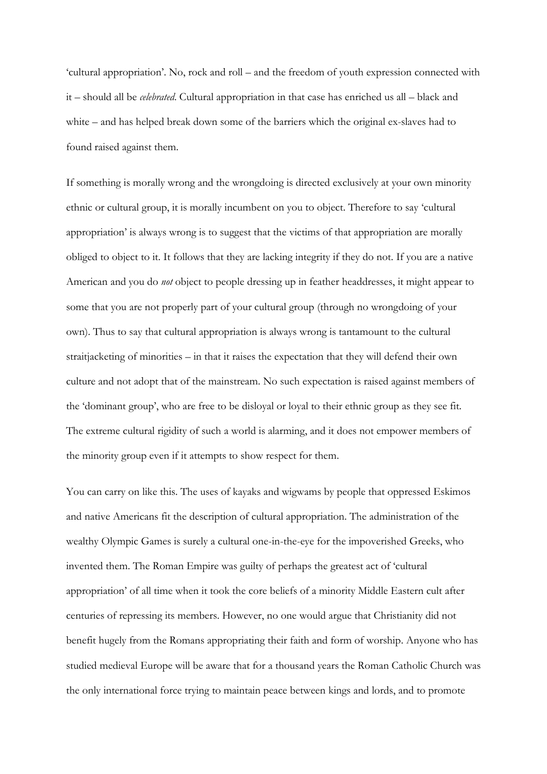'cultural appropriation'. No, rock and roll – and the freedom of youth expression connected with it – should all be *celebrated*. Cultural appropriation in that case has enriched us all – black and white – and has helped break down some of the barriers which the original ex-slaves had to found raised against them.

If something is morally wrong and the wrongdoing is directed exclusively at your own minority ethnic or cultural group, it is morally incumbent on you to object. Therefore to say 'cultural appropriation' is always wrong is to suggest that the victims of that appropriation are morally obliged to object to it. It follows that they are lacking integrity if they do not. If you are a native American and you do *not* object to people dressing up in feather headdresses, it might appear to some that you are not properly part of your cultural group (through no wrongdoing of your own). Thus to say that cultural appropriation is always wrong is tantamount to the cultural straitjacketing of minorities – in that it raises the expectation that they will defend their own culture and not adopt that of the mainstream. No such expectation is raised against members of the 'dominant group', who are free to be disloyal or loyal to their ethnic group as they see fit. The extreme cultural rigidity of such a world is alarming, and it does not empower members of the minority group even if it attempts to show respect for them.

You can carry on like this. The uses of kayaks and wigwams by people that oppressed Eskimos and native Americans fit the description of cultural appropriation. The administration of the wealthy Olympic Games is surely a cultural one-in-the-eye for the impoverished Greeks, who invented them. The Roman Empire was guilty of perhaps the greatest act of 'cultural appropriation' of all time when it took the core beliefs of a minority Middle Eastern cult after centuries of repressing its members. However, no one would argue that Christianity did not benefit hugely from the Romans appropriating their faith and form of worship. Anyone who has studied medieval Europe will be aware that for a thousand years the Roman Catholic Church was the only international force trying to maintain peace between kings and lords, and to promote